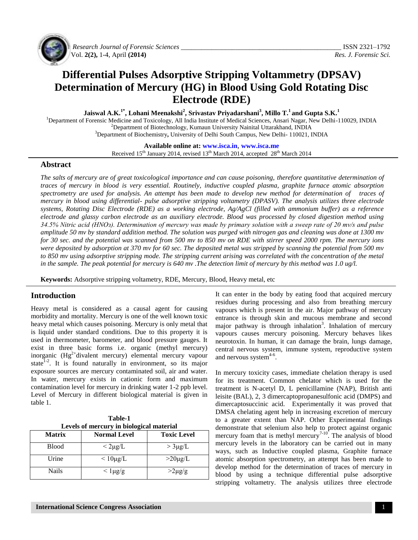

*Research Journal of Forensic Sciences \_\_\_\_\_\_\_\_\_\_\_\_\_\_\_\_\_\_\_\_\_\_\_\_\_\_\_\_\_\_\_\_\_\_\_\_\_\_\_\_\_\_\_\_\_\_\_* ISSN 2321–1792 Vol. **2(2),** 1-4, April **(2014)** *Res. J. Forensic Sci.*

# **Differential Pulses Adsorptive Stripping Voltammetry (DPSAV) Determination of Mercury (HG) in Blood Using Gold Rotating Disc Electrode (RDE)**

**Jaiswal A.K.1\*, Lohani Meenakshi<sup>2</sup> , Srivastav Priyadarshani<sup>3</sup> , Millo T.<sup>1</sup>and Gupta S.K.<sup>1</sup>**

<sup>1</sup>Department of Forensic Medicine and Toxicology, All India Institute of Medical Sciences, Ansari Nagar, New Delhi-110029, INDIA  $2$ Department of Biotechnology, Kumaun University Nainital Uttarakhand, INDIA <sup>3</sup>Department of Biochemistry**,** University of Delhi South Campus, New Delhi- 110021, INDIA

**Available online at: [www.isca.in](http://www.isca.in/)**, **[www.isca.me](http://www.isca.in/)**

Received 15<sup>th</sup> January 2014, revised 13<sup>th</sup> March 2014, accepted 28<sup>th</sup> March 2014

## **Abstract**

*The salts of mercury are of great toxicological importance and can cause poisoning, therefore quantitative determination of traces of mercury in blood is very essential. Routinely, inductive coupled plasma, graphite furnace atomic absorption*  spectrometry are used for analysis. An attempt has been made to develop new method for determination of traces of *mercury in blood using differential- pulse adsorptive stripping voltametry (DPASV). The analysis utilizes three electrode systems, Rotating Disc Electrode (RDE) as a working electrode, Ag/AgCl (filled with ammonium buffer) as a reference electrode and glassy carbon electrode as an auxiliary electrode. Blood was processed by closed digestion method using 34.5% Nitric acid (HNOз). Determination of mercury was made by primary solution with a sweep rate of 20 mv/s and pulse amplitude 50 mv by standard addition method. The solution was purged with nitrogen gas and cleaning was done at 1300 mv for 30 sec. and the potential was scanned from 500 mv to 850 mv on RDE with stirrer speed 2000 rpm. The mercury ions were deposited by adsorption at 370 mv for 60 sec. The deposited metal was stripped by scanning the potential from 500 mv to 850 mv using adsorptive stripping mode. The stripping current arising was correlated with the concentration of the metal in the sample. The peak potential for mercury is 640 mv .The detection limit of mercury by this method was 1.0 ug/l.*

**Keywords:** Adsorptive stripping voltametry, RDE, Mercury, Blood, Heavy metal, etc

## **Introduction**

Heavy metal is considered as a causal agent for causing morbidity and mortality. Mercury is one of the well known toxic heavy metal which causes poisoning. Mercury is only metal that is liquid under standard conditions. Due to this property it is used in thermometer, barometer, and blood pressure gauges. It exist in three basic forms i.e. organic (methyl mercury) inorganic  $(Hg^{2+}divalent$  mercury) elemental mercury vapour state $1-2$ . It is found naturally in environment, so its major exposure sources are mercury contaminated soil, air and water. In water, mercury exists in cationic form and maximum contamination level for mercury in drinking water 1-2 ppb level. Level of Mercury in different biological material is given in table 1.

| Table-1 |                                          |  |
|---------|------------------------------------------|--|
|         | Levels of mercury in biological material |  |
|         |                                          |  |

| <b>Matrix</b> | <b>Normal Level</b> | <b>Toxic Level</b> |
|---------------|---------------------|--------------------|
| <b>Blood</b>  | $<$ 2µg/L           | $>$ 3µg/L          |
| Urine         | $\leq 10\mu g/L$    | $>20\mu$ g/L       |
| Nails         | $<$ 1 $\mu$ g/g     | $>2\mu$ g/g        |

It can enter in the body by eating food that acquired mercury residues during processing and also from breathing mercury vapours which is present in the air. Major pathway of mercury entrance is through skin and mucous membrane and second major pathway is through inhalation<sup>3</sup>. Inhalation of mercury vapours causes mercury poisoning. Mercury behaves likes neurotoxin. In human, it can damage the brain, lungs damage, central nervous system, immune system, reproductive system and nervous system $4-6$ .

In mercury toxicity cases, immediate chelation therapy is used for its treatment. Common chelator which is used for the treatment is N-acetyl D, L penicillamine (NAP), British anti leisite (BAL), 2, 3 dimercaptopropanesulfonic acid (DMPS) and dimercaptosuccinic acid. Experimentally it was proved that DMSA chelating agent help in increasing excretion of mercury to a greater extent than NAP. Other Experimental findings demonstrate that selenium also help to protect against organic mercury foam that is methyl mercury<sup>7-10</sup>. The analysis of blood mercury levels in the laboratory can be carried out in many ways, such as Inductive coupled plasma, Graphite furnace atomic absorption spectrometry, an attempt has been made to develop method for the determination of traces of mercury in blood by using a technique differential pulse adsorptive stripping voltametry. The analysis utilizes three electrode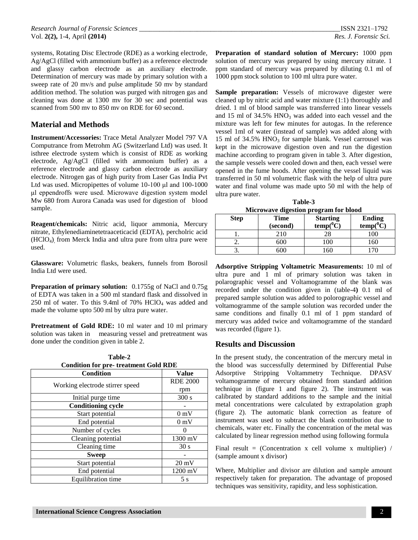systems, Rotating Disc Electrode (RDE) as a working electrode, Ag/AgCl (filled with ammonium buffer) as a reference electrode and glassy carbon electrode as an auxiliary electrode. Determination of mercury was made by primary solution with a sweep rate of 20 mv/s and pulse amplitude 50 mv by standard addition method. The solution was purged with nitrogen gas and cleaning was done at 1300 mv for 30 sec and potential was scanned from 500 mv to 850 mv on RDE for 60 second.

## **Material and Methods**

**Instrument/Accessories:** Trace Metal Analyzer Model 797 VA Computrance from Metrohm AG (Switzerland Ltd) was used. It isthree electrode system which is consist of RDE as working electrode, Ag/AgCl (filled with ammonium buffer) as a reference electrode and glassy carbon electrode as auxiliary electrode. Nitrogen gas of high purity from Laser Gas India Pvt Ltd was used. Micropipettes of volume 10-100 μl and 100-1000 μl eppendroffs were used. Microwave digestion system model Mw 680 from Aurora Canada was used for digestion of blood sample.

**Reagent/chemicals:** Nitric acid, liquor ammonia, Mercury nitrate, Ethylenediaminetetraaceticacid (EDTA), percholric acid  $(HClO<sub>4</sub>)$  from Merck India and ultra pure from ultra pure were used.

**Glassware:** Volumetric flasks, beakers, funnels from Borosil India Ltd were used.

**Preparation of primary solution:** 0.1755g of NaCl and 0.75g of EDTA was taken in a 500 ml standard flask and dissolved in 250 ml of water. To this 9.4ml of  $70\%$  HClO<sub>4</sub> was added and made the volume upto 500 ml by ultra pure water.

**Pretreatment of Gold RDE:** 10 ml water and 10 ml primary solution was taken in measuring vessel and pretreatment was done under the condition given in table 2.

| Table-2 |                                              |  |  |
|---------|----------------------------------------------|--|--|
|         | <b>Condition for pre- treatment Gold RDE</b> |  |  |

| <b>Condition</b>                | Value           |
|---------------------------------|-----------------|
|                                 | <b>RDE 2000</b> |
| Working electrode stirrer speed | rpm             |
| Initial purge time              | 300 s           |
| <b>Conditioning cycle</b>       |                 |
| Start potential                 | 0 <sub>m</sub>  |
| End potential                   | 0 <sub>m</sub>  |
| Number of cycles                |                 |
| Cleaning potential              | 1300 mV         |
| Cleaning time                   | 30 <sub>s</sub> |
| <b>Sweep</b>                    |                 |
| Start potential                 | $20 \text{ mV}$ |
| End potential                   | 1200 mV         |
| Equilibration time              | 5s              |

**Preparation of standard solution of Mercury:** 1000 ppm solution of mercury was prepared by using mercury nitrate. 1 ppm standard of mercury was prepared by diluting 0.1 ml of 1000 ppm stock solution to 100 ml ultra pure water.

Sample preparation: Vessels of microwave digester were cleaned up by nitric acid and water mixture (1:1) thoroughly and dried. 1 ml of blood sample was transferred into linear vessels and 15 ml of  $34.5\%$  HNO<sub>3</sub> was added into each vessel and the mixture was left for few minutes for autogas. In the reference vessel 1ml of water (instead of sample) was added along with 15 ml of  $34.5\%$  HNO<sub>3</sub> for sample blank. Vessel carrousel was kept in the microwave digestion oven and run the digestion machine according to program given in table 3. After digestion, the sample vessels were cooled down and then, each vessel were opened in the fume hoods. After opening the vessel liquid was transferred in 50 ml volumetric flask with the help of ultra pure water and final volume was made upto 50 ml with the help of ultra pure water.

**Table-3 Microwave digestion program for blood**

| <b>Step</b> | Time<br>(second) | <b>Starting</b><br>$temp(^0C)$ | <b>Ending</b><br>$temp(^0C)$ |
|-------------|------------------|--------------------------------|------------------------------|
|             | 210              |                                |                              |
| <u>.</u>    | 600              |                                |                              |
|             | 506              | 60                             |                              |

**Adsorptive Stripping Voltametric Measurements:** 10 ml of ultra pure and 1 ml of primary solution was taken in polarographic vessel and Voltamogramme of the blank was recorded under the condition given in (table-4**)** 0.1 ml of prepared sample solution was added to polorographic vessel and voltamogramme of the sample solution was recorded under the same conditions and finally 0.1 ml of 1 ppm standard of mercury was added twice and voltamogramme of the standard was recorded (figure 1).

## **Results and Discussion**

In the present study, the concentration of the mercury metal in the blood was successfully determined by Differential Pulse Adsorptive Stripping Voltammetry Technique. DPASV voltamogramme of mercury obtained from standard addition technique in (figure 1 and figure 2). The instrument was calibrated by standard additions to the sample and the initial metal concentrations were calculated by extrapolation graph (figure 2). The automatic blank correction as feature of instrument was used to subtract the blank contribution due to chemicals, water etc. Finally the concentration of the metal was calculated by linear regression method using following formula

Final result = (Concentration x cell volume x multiplier) / (sample amount x divisor)

Where, Multiplier and divisor are dilution and sample amount respectively taken for preparation. The advantage of proposed techniques was sensitivity, rapidity, and less sophistication.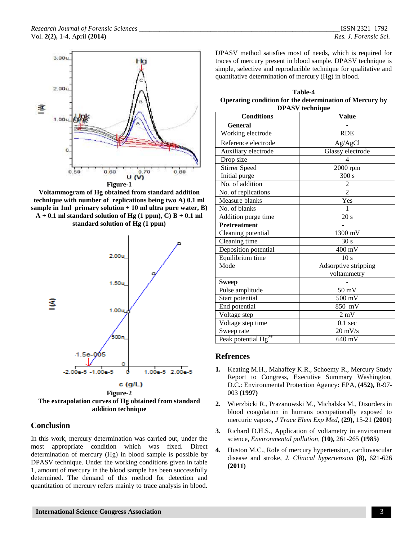

**Voltammogram of Hg obtained from standard addition technique with number of replications being two A) 0.1 ml sample in 1ml primary solution + 10 ml ultra pure water, B)**   $A + 0.1$  ml standard solution of Hg  $(1 ppm)$ , C) B  $+ 0.1$  ml **standard solution of Hg (1 ppm)**



**Figure-2 The extrapolation curves of Hg obtained from standard addition technique**

## **Conclusion**

In this work, mercury determination was carried out, under the most appropriate condition which was fixed. Direct determination of mercury (Hg) in blood sample is possible by DPASV technique. Under the working conditions given in table 1, amount of mercury in the blood sample has been successfully determined. The demand of this method for detection and quantitation of mercury refers mainly to trace analysis in blood.

DPASV method satisfies most of needs, which is required for traces of mercury present in blood sample. DPASV technique is simple, selective and reproducible technique for qualitative and quantitative determination of mercury (Hg) in blood.

| Table-4                                                 |  |  |
|---------------------------------------------------------|--|--|
| Operating condition for the determination of Mercury by |  |  |
| <b>DPASV</b> technique                                  |  |  |

| <b>Conditions</b>                   | <b>Value</b>         |  |
|-------------------------------------|----------------------|--|
| <b>General</b>                      |                      |  |
| Working electrode                   | <b>RDE</b>           |  |
| Reference electrode                 | Ag/AgCl              |  |
| Auxiliary electrode                 | Glassy electrode     |  |
| Drop size                           | 4                    |  |
| <b>Stirrer Speed</b>                | 2000 rpm             |  |
| Initial purge                       | 300 s                |  |
| No. of addition                     | 2                    |  |
| No. of replications                 | $\overline{2}$       |  |
| Measure blanks                      | Yes                  |  |
| No. of blanks                       | 1                    |  |
| Addition purge time                 | 20 s                 |  |
| Pretreatment                        |                      |  |
| Cleaning potential                  | 1300 mV              |  |
| Cleaning time                       | 30 s                 |  |
| Deposition potential                | 400 mV               |  |
| Equilibrium time                    | 10 <sub>s</sub>      |  |
| Mode                                | Adsorptive stripping |  |
|                                     | voltammetry          |  |
| <b>Sweep</b>                        |                      |  |
| Pulse amplitude                     | $\overline{50}$ mV   |  |
| Start potential                     | 500 mV               |  |
| End potential                       | 850 mV               |  |
| Voltage step                        | $2 \text{ mV}$       |  |
| Voltage step time                   | $0.1 \text{ sec}$    |  |
| Sweep rate                          | $20 \text{ mV/s}$    |  |
| Peak potential $\overline{Hg^{2+}}$ | 640 mV               |  |

## **Refrences**

- **1.** Keating M.H., Mahaffey K.R., Schoemy R., Mercury Study Report to Congress, Executive Summary Washington, D.C.: Environmental Protection Agency**:** EPA, **(452),** R-97- 003 **(1997)**
- **2.** Wierzbicki R., Prazanowski M., Michalska M., Disorders in blood coagulation in humans occupationally exposed to mercuric vapors, *J Trace Elem Exp Med,* **(29),** 15-21 **(2001)**
- **3.** Richard D.H.S., Application of voltametry in environment science, *Environmental pollution,* **(10),** 261-265 **(1985)**
- **4.** Huston M.C., Role of mercury hypertension, cardiovascular disease and stroke, *J. Clinical hypertension* **(8),** 621-626 **(2011)**